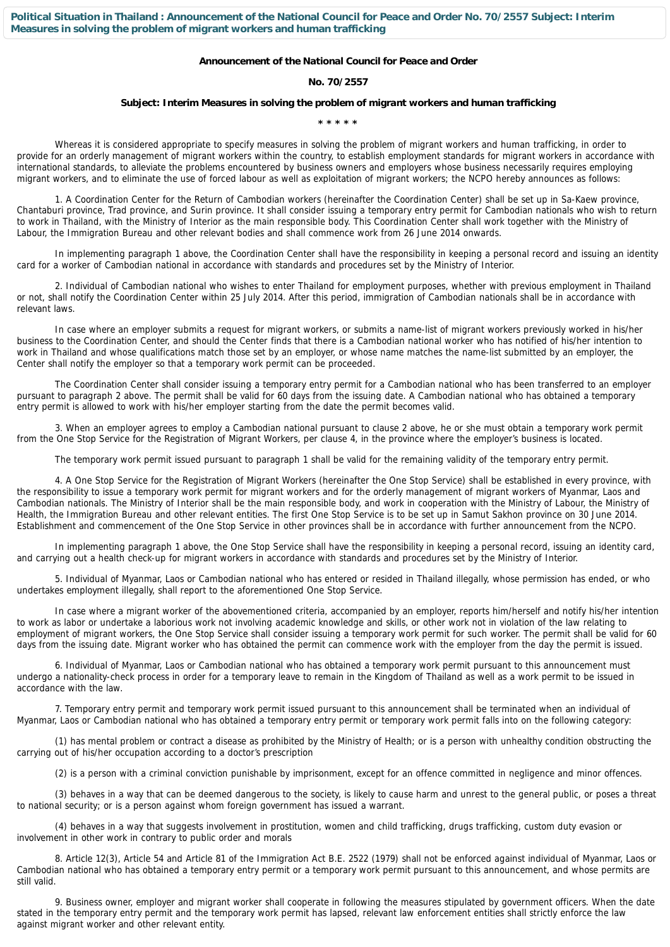**Political Situation in Thailand : Announcement of the National Council for Peace and Order No. 70/2557 Subject: Interim Measures in solving the problem of migrant workers and human trafficking**

## **Announcement of the National Council for Peace and Order**

## **No. 70/2557**

## **Subject: Interim Measures in solving the problem of migrant workers and human trafficking**

**\* \* \* \* \***

Whereas it is considered appropriate to specify measures in solving the problem of migrant workers and human trafficking, in order to provide for an orderly management of migrant workers within the country, to establish employment standards for migrant workers in accordance with international standards, to alleviate the problems encountered by business owners and employers whose business necessarily requires employing migrant workers, and to eliminate the use of forced labour as well as exploitation of migrant workers; the NCPO hereby announces as follows:

 1. A Coordination Center for the Return of Cambodian workers (hereinafter the Coordination Center) shall be set up in Sa-Kaew province, Chantaburi province, Trad province, and Surin province. It shall consider issuing a temporary entry permit for Cambodian nationals who wish to return to work in Thailand, with the Ministry of Interior as the main responsible body. This Coordination Center shall work together with the Ministry of Labour, the Immigration Bureau and other relevant bodies and shall commence work from 26 June 2014 onwards.

 In implementing paragraph 1 above, the Coordination Center shall have the responsibility in keeping a personal record and issuing an identity card for a worker of Cambodian national in accordance with standards and procedures set by the Ministry of Interior.

 2. Individual of Cambodian national who wishes to enter Thailand for employment purposes, whether with previous employment in Thailand or not, shall notify the Coordination Center within 25 July 2014. After this period, immigration of Cambodian nationals shall be in accordance with relevant laws.

 In case where an employer submits a request for migrant workers, or submits a name-list of migrant workers previously worked in his/her business to the Coordination Center, and should the Center finds that there is a Cambodian national worker who has notified of his/her intention to work in Thailand and whose qualifications match those set by an employer, or whose name matches the name-list submitted by an employer, the Center shall notify the employer so that a temporary work permit can be proceeded.

 The Coordination Center shall consider issuing a temporary entry permit for a Cambodian national who has been transferred to an employer pursuant to paragraph 2 above. The permit shall be valid for 60 days from the issuing date. A Cambodian national who has obtained a temporary entry permit is allowed to work with his/her employer starting from the date the permit becomes valid.

 3. When an employer agrees to employ a Cambodian national pursuant to clause 2 above, he or she must obtain a temporary work permit from the One Stop Service for the Registration of Migrant Workers, per clause 4, in the province where the employer's business is located.

The temporary work permit issued pursuant to paragraph 1 shall be valid for the remaining validity of the temporary entry permit.

 4. A One Stop Service for the Registration of Migrant Workers (hereinafter the One Stop Service) shall be established in every province, with the responsibility to issue a temporary work permit for migrant workers and for the orderly management of migrant workers of Myanmar, Laos and Cambodian nationals. The Ministry of Interior shall be the main responsible body, and work in cooperation with the Ministry of Labour, the Ministry of Health, the Immigration Bureau and other relevant entities. The first One Stop Service is to be set up in Samut Sakhon province on 30 June 2014. Establishment and commencement of the One Stop Service in other provinces shall be in accordance with further announcement from the NCPO.

 In implementing paragraph 1 above, the One Stop Service shall have the responsibility in keeping a personal record, issuing an identity card, and carrying out a health check-up for migrant workers in accordance with standards and procedures set by the Ministry of Interior.

 5. Individual of Myanmar, Laos or Cambodian national who has entered or resided in Thailand illegally, whose permission has ended, or who undertakes employment illegally, shall report to the aforementioned One Stop Service.

 In case where a migrant worker of the abovementioned criteria, accompanied by an employer, reports him/herself and notify his/her intention to work as labor or undertake a laborious work not involving academic knowledge and skills, or other work not in violation of the law relating to employment of migrant workers, the One Stop Service shall consider issuing a temporary work permit for such worker. The permit shall be valid for 60 days from the issuing date. Migrant worker who has obtained the permit can commence work with the employer from the day the permit is issued.

 6. Individual of Myanmar, Laos or Cambodian national who has obtained a temporary work permit pursuant to this announcement must undergo a nationality-check process in order for a temporary leave to remain in the Kingdom of Thailand as well as a work permit to be issued in accordance with the law.

 7. Temporary entry permit and temporary work permit issued pursuant to this announcement shall be terminated when an individual of Myanmar, Laos or Cambodian national who has obtained a temporary entry permit or temporary work permit falls into on the following category:

 (1) has mental problem or contract a disease as prohibited by the Ministry of Health; or is a person with unhealthy condition obstructing the carrying out of his/her occupation according to a doctor's prescription

(2) is a person with a criminal conviction punishable by imprisonment, except for an offence committed in negligence and minor offences.

 (3) behaves in a way that can be deemed dangerous to the society, is likely to cause harm and unrest to the general public, or poses a threat to national security; or is a person against whom foreign government has issued a warrant.

 (4) behaves in a way that suggests involvement in prostitution, women and child trafficking, drugs trafficking, custom duty evasion or involvement in other work in contrary to public order and morals

 8. Article 12(3), Article 54 and Article 81 of the Immigration Act B.E. 2522 (1979) shall not be enforced against individual of Myanmar, Laos or Cambodian national who has obtained a temporary entry permit or a temporary work permit pursuant to this announcement, and whose permits are still valid.

 9. Business owner, employer and migrant worker shall cooperate in following the measures stipulated by government officers. When the date stated in the temporary entry permit and the temporary work permit has lapsed, relevant law enforcement entities shall strictly enforce the law against migrant worker and other relevant entity.